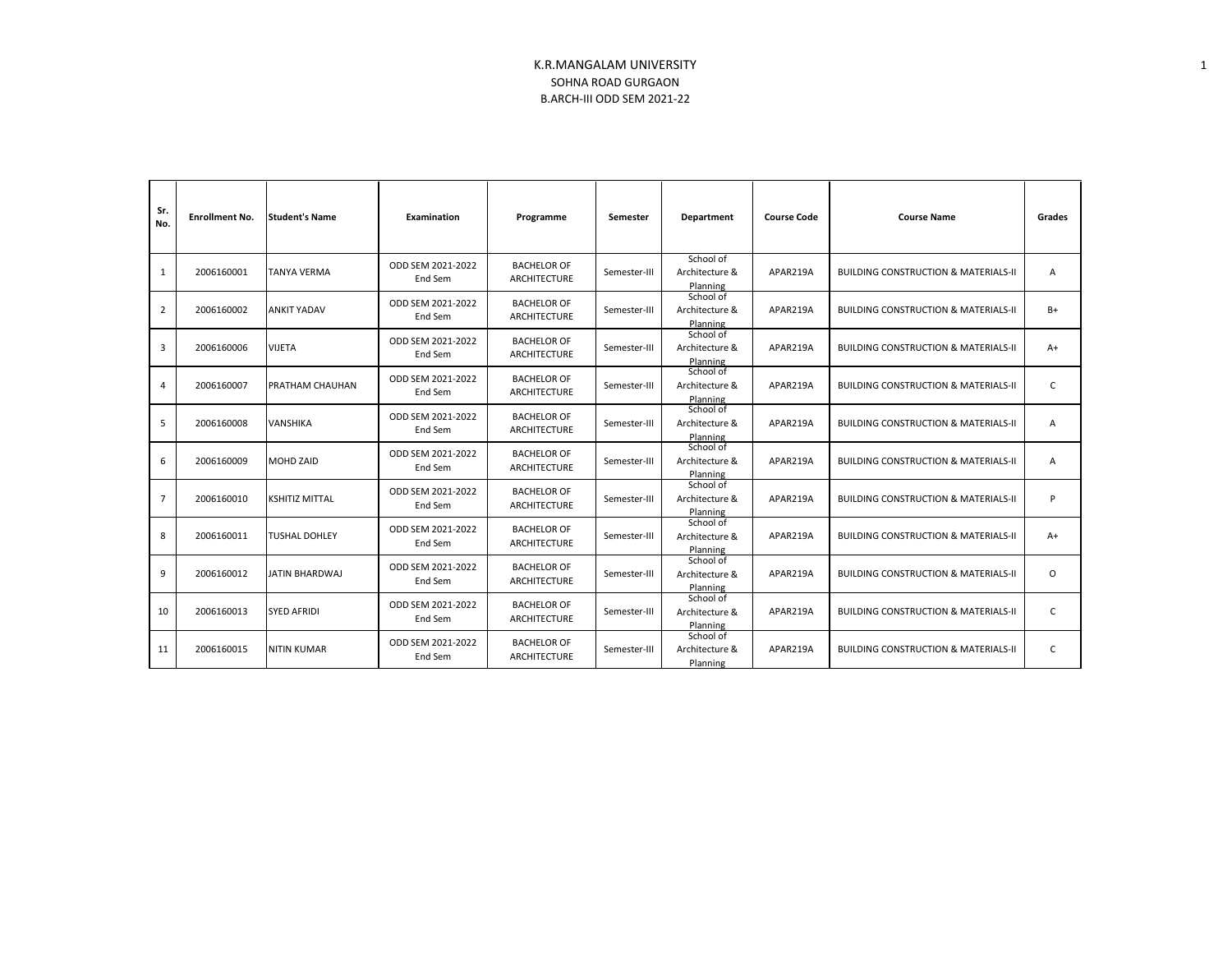| Sr.<br>No.     | <b>Enrollment No.</b> | <b>Student's Name</b> | Examination                  | Programme                                 | Semester     | Department                              | <b>Course Code</b> | <b>Course Name</b>                              | Grades         |
|----------------|-----------------------|-----------------------|------------------------------|-------------------------------------------|--------------|-----------------------------------------|--------------------|-------------------------------------------------|----------------|
| $\mathbf{1}$   | 2006160001            | <b>TANYA VERMA</b>    | ODD SEM 2021-2022<br>End Sem | <b>BACHELOR OF</b><br><b>ARCHITECTURE</b> | Semester-III | School of<br>Architecture &<br>Planning | APAR219A           | <b>BUILDING CONSTRUCTION &amp; MATERIALS-II</b> | $\overline{A}$ |
| $\overline{2}$ | 2006160002            | <b>ANKIT YADAV</b>    | ODD SEM 2021-2022<br>End Sem | <b>BACHELOR OF</b><br><b>ARCHITECTURE</b> | Semester-III | School of<br>Architecture &<br>Planning | APAR219A           | <b>BUILDING CONSTRUCTION &amp; MATERIALS-II</b> | $B+$           |
| 3              | 2006160006            | <b>VIJETA</b>         | ODD SEM 2021-2022<br>End Sem | <b>BACHELOR OF</b><br><b>ARCHITECTURE</b> | Semester-III | School of<br>Architecture &<br>Planning | APAR219A           | <b>BUILDING CONSTRUCTION &amp; MATERIALS-II</b> | $A+$           |
| 4              | 2006160007            | PRATHAM CHAUHAN       | ODD SEM 2021-2022<br>End Sem | <b>BACHELOR OF</b><br><b>ARCHITECTURE</b> | Semester-III | School of<br>Architecture &<br>Planning | APAR219A           | <b>BUILDING CONSTRUCTION &amp; MATERIALS-II</b> | C              |
| 5              | 2006160008            | <b>VANSHIKA</b>       | ODD SEM 2021-2022<br>End Sem | <b>BACHELOR OF</b><br><b>ARCHITECTURE</b> | Semester-III | School of<br>Architecture &<br>Planning | APAR219A           | <b>BUILDING CONSTRUCTION &amp; MATERIALS-II</b> | A              |
| 6              | 2006160009            | <b>MOHD ZAID</b>      | ODD SEM 2021-2022<br>End Sem | <b>BACHELOR OF</b><br>ARCHITECTURE        | Semester-III | School of<br>Architecture &<br>Planning | APAR219A           | <b>BUILDING CONSTRUCTION &amp; MATERIALS-II</b> | A              |
| $\overline{7}$ | 2006160010            | <b>KSHITIZ MITTAL</b> | ODD SEM 2021-2022<br>End Sem | <b>BACHELOR OF</b><br><b>ARCHITECTURE</b> | Semester-III | School of<br>Architecture &<br>Planning | APAR219A           | <b>BUILDING CONSTRUCTION &amp; MATERIALS-II</b> | P              |
| 8              | 2006160011            | <b>TUSHAL DOHLEY</b>  | ODD SEM 2021-2022<br>End Sem | <b>BACHELOR OF</b><br>ARCHITECTURE        | Semester-III | School of<br>Architecture &<br>Planning | APAR219A           | <b>BUILDING CONSTRUCTION &amp; MATERIALS-II</b> | $A+$           |
| 9              | 2006160012            | JATIN BHARDWAJ        | ODD SEM 2021-2022<br>End Sem | <b>BACHELOR OF</b><br><b>ARCHITECTURE</b> | Semester-III | School of<br>Architecture &<br>Planning | APAR219A           | <b>BUILDING CONSTRUCTION &amp; MATERIALS-II</b> | $\Omega$       |
| 10             | 2006160013            | <b>SYED AFRIDI</b>    | ODD SEM 2021-2022<br>End Sem | <b>BACHELOR OF</b><br><b>ARCHITECTURE</b> | Semester-III | School of<br>Architecture &<br>Planning | APAR219A           | <b>BUILDING CONSTRUCTION &amp; MATERIALS-II</b> | C              |
| 11             | 2006160015            | <b>NITIN KUMAR</b>    | ODD SEM 2021-2022<br>End Sem | <b>BACHELOR OF</b><br><b>ARCHITECTURE</b> | Semester-III | School of<br>Architecture &<br>Planning | APAR219A           | <b>BUILDING CONSTRUCTION &amp; MATERIALS-II</b> | C              |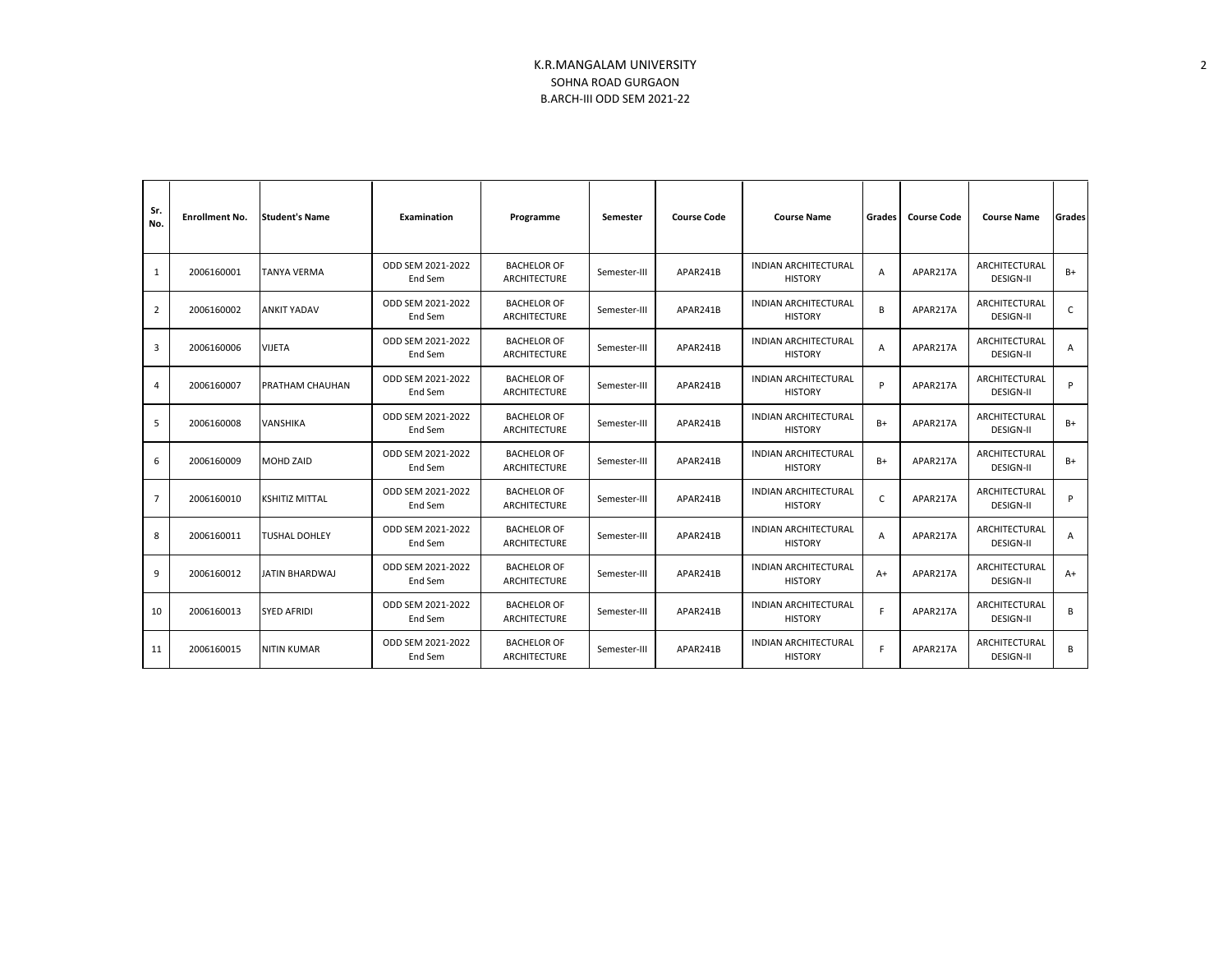| Sr.<br>No.     | <b>Enrollment No.</b> | <b>Student's Name</b> | Examination                  | Programme                                 | Semester     | <b>Course Code</b> | <b>Course Name</b>                            | Grades         | <b>Course Code</b> | <b>Course Name</b>                | Grades |
|----------------|-----------------------|-----------------------|------------------------------|-------------------------------------------|--------------|--------------------|-----------------------------------------------|----------------|--------------------|-----------------------------------|--------|
| 1              | 2006160001            | <b>TANYA VERMA</b>    | ODD SEM 2021-2022<br>End Sem | <b>BACHELOR OF</b><br>ARCHITECTURE        | Semester-III | APAR241B           | <b>INDIAN ARCHITECTURAL</b><br><b>HISTORY</b> | $\overline{A}$ | APAR217A           | ARCHITECTURAL<br><b>DESIGN-II</b> | $B+$   |
| 2              | 2006160002            | <b>ANKIT YADAV</b>    | ODD SEM 2021-2022<br>End Sem | <b>BACHELOR OF</b><br><b>ARCHITECTURE</b> | Semester-III | APAR241B           | <b>INDIAN ARCHITECTURAL</b><br><b>HISTORY</b> | B              | APAR217A           | ARCHITECTURAL<br><b>DESIGN-II</b> | C      |
| 3              | 2006160006            | <b>VIJETA</b>         | ODD SEM 2021-2022<br>End Sem | <b>BACHELOR OF</b><br><b>ARCHITECTURE</b> | Semester-III | APAR241B           | <b>INDIAN ARCHITECTURAL</b><br><b>HISTORY</b> | $\overline{A}$ | APAR217A           | ARCHITECTURAL<br><b>DESIGN-II</b> | A      |
| 4              | 2006160007            | PRATHAM CHAUHAN       | ODD SEM 2021-2022<br>End Sem | <b>BACHELOR OF</b><br><b>ARCHITECTURE</b> | Semester-III | APAR241B           | <b>INDIAN ARCHITECTURAL</b><br><b>HISTORY</b> | P              | APAR217A           | ARCHITECTURAL<br><b>DESIGN-II</b> | P      |
| 5              | 2006160008            | VANSHIKA              | ODD SEM 2021-2022<br>End Sem | <b>BACHELOR OF</b><br>ARCHITECTURE        | Semester-III | APAR241B           | <b>INDIAN ARCHITECTURAL</b><br><b>HISTORY</b> | $B+$           | APAR217A           | ARCHITECTURAL<br><b>DESIGN-II</b> | $B+$   |
| 6              | 2006160009            | <b>MOHD ZAID</b>      | ODD SEM 2021-2022<br>End Sem | <b>BACHELOR OF</b><br>ARCHITECTURE        | Semester-III | APAR241B           | <b>INDIAN ARCHITECTURAL</b><br><b>HISTORY</b> | B+             | APAR217A           | ARCHITECTURAL<br><b>DESIGN-II</b> | $B+$   |
| $\overline{7}$ | 2006160010            | <b>KSHITIZ MITTAL</b> | ODD SEM 2021-2022<br>End Sem | <b>BACHELOR OF</b><br>ARCHITECTURE        | Semester-III | APAR241B           | <b>INDIAN ARCHITECTURAL</b><br><b>HISTORY</b> | C              | APAR217A           | ARCHITECTURAL<br><b>DESIGN-II</b> | p      |
| 8              | 2006160011            | <b>TUSHAL DOHLEY</b>  | ODD SEM 2021-2022<br>End Sem | <b>BACHELOR OF</b><br>ARCHITECTURE        | Semester-III | APAR241B           | <b>INDIAN ARCHITECTURAL</b><br><b>HISTORY</b> | A              | APAR217A           | ARCHITECTURAL<br><b>DESIGN-II</b> | A      |
| 9              | 2006160012            | JATIN BHARDWAJ        | ODD SEM 2021-2022<br>End Sem | <b>BACHELOR OF</b><br><b>ARCHITECTURE</b> | Semester-III | APAR241B           | <b>INDIAN ARCHITECTURAL</b><br><b>HISTORY</b> | $A+$           | APAR217A           | ARCHITECTURAL<br><b>DESIGN-II</b> | $A+$   |
| 10             | 2006160013            | <b>SYED AFRIDI</b>    | ODD SEM 2021-2022<br>End Sem | <b>BACHELOR OF</b><br><b>ARCHITECTURE</b> | Semester-III | APAR241B           | <b>INDIAN ARCHITECTURAL</b><br><b>HISTORY</b> | F              | APAR217A           | ARCHITECTURAL<br><b>DESIGN-II</b> | B      |
| 11             | 2006160015            | <b>NITIN KUMAR</b>    | ODD SEM 2021-2022<br>End Sem | <b>BACHELOR OF</b><br>ARCHITECTURE        | Semester-III | APAR241B           | <b>INDIAN ARCHITECTURAL</b><br><b>HISTORY</b> | F              | APAR217A           | ARCHITECTURAL<br><b>DESIGN-II</b> | B      |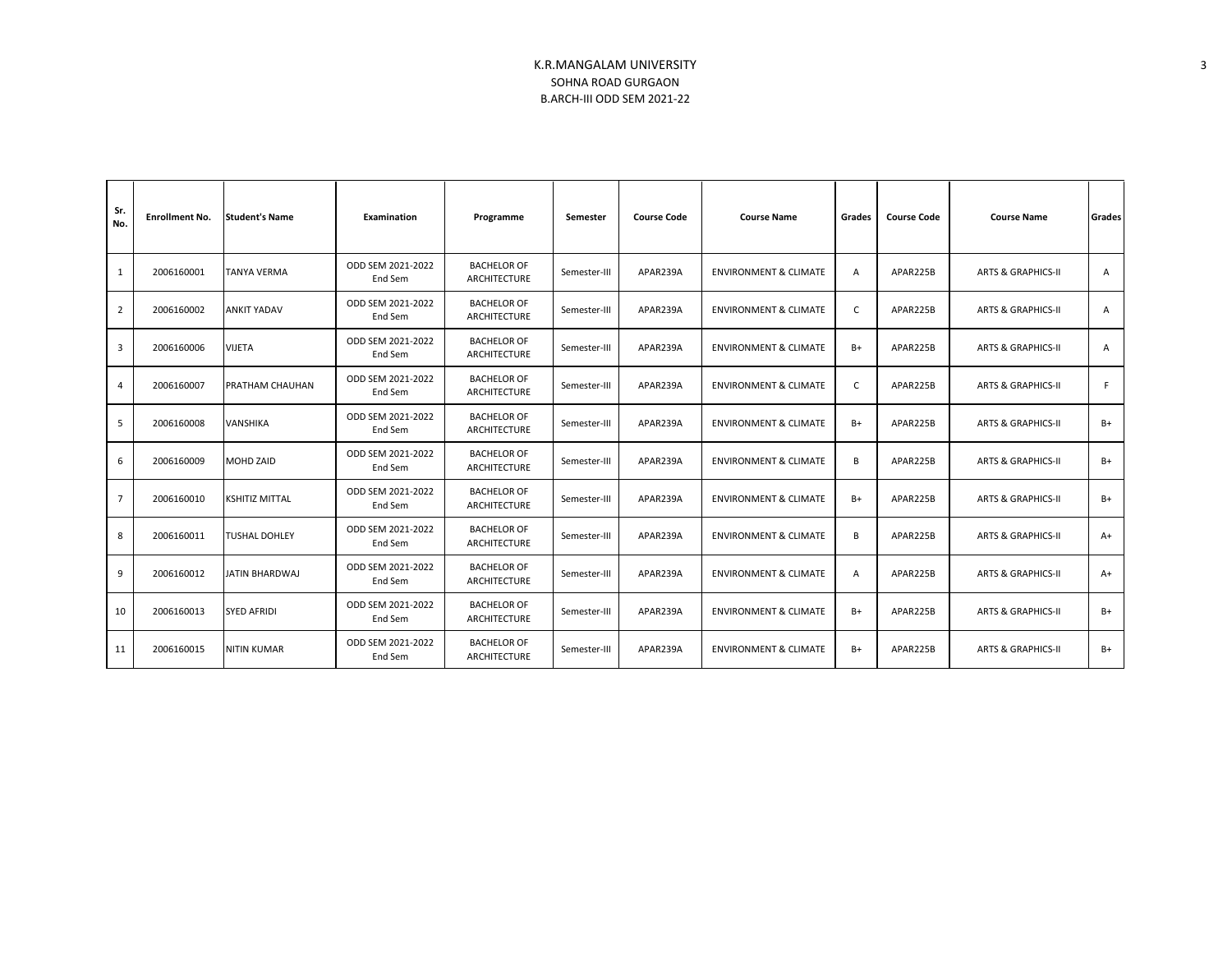| Sr.<br>No.     | <b>Enrollment No.</b> | <b>Student's Name</b> | Examination                  | Programme                                 | Semester     | <b>Course Code</b> | <b>Course Name</b>               | Grades         | <b>Course Code</b> | <b>Course Name</b>            | <b>Grades</b>  |
|----------------|-----------------------|-----------------------|------------------------------|-------------------------------------------|--------------|--------------------|----------------------------------|----------------|--------------------|-------------------------------|----------------|
| 1              | 2006160001            | TANYA VERMA           | ODD SEM 2021-2022<br>End Sem | <b>BACHELOR OF</b><br>ARCHITECTURE        | Semester-III | APAR239A           | <b>ENVIRONMENT &amp; CLIMATE</b> | $\overline{A}$ | APAR225B           | <b>ARTS &amp; GRAPHICS-II</b> | A              |
| $\overline{2}$ | 2006160002            | <b>ANKIT YADAV</b>    | ODD SEM 2021-2022<br>End Sem | <b>BACHELOR OF</b><br>ARCHITECTURE        | Semester-III | APAR239A           | <b>ENVIRONMENT &amp; CLIMATE</b> | $\mathsf{C}$   | APAR225B           | <b>ARTS &amp; GRAPHICS-II</b> | $\overline{A}$ |
| 3              | 2006160006            | <b>VIJETA</b>         | ODD SEM 2021-2022<br>End Sem | <b>BACHELOR OF</b><br><b>ARCHITECTURE</b> | Semester-III | APAR239A           | <b>ENVIRONMENT &amp; CLIMATE</b> | $B+$           | APAR225B           | <b>ARTS &amp; GRAPHICS-II</b> | $\mathsf{A}$   |
| $\overline{4}$ | 2006160007            | PRATHAM CHAUHAN       | ODD SEM 2021-2022<br>End Sem | <b>BACHELOR OF</b><br><b>ARCHITECTURE</b> | Semester-III | APAR239A           | <b>ENVIRONMENT &amp; CLIMATE</b> | $\mathsf{C}$   | APAR225B           | <b>ARTS &amp; GRAPHICS-II</b> | F.             |
| 5              | 2006160008            | <b>VANSHIKA</b>       | ODD SEM 2021-2022<br>End Sem | <b>BACHELOR OF</b><br>ARCHITECTURE        | Semester-III | APAR239A           | <b>ENVIRONMENT &amp; CLIMATE</b> | $B+$           | APAR225B           | <b>ARTS &amp; GRAPHICS-II</b> | $B+$           |
| 6              | 2006160009            | <b>MOHD ZAID</b>      | ODD SEM 2021-2022<br>End Sem | <b>BACHELOR OF</b><br>ARCHITECTURE        | Semester-III | APAR239A           | <b>ENVIRONMENT &amp; CLIMATE</b> | B              | APAR225B           | <b>ARTS &amp; GRAPHICS-II</b> | $B+$           |
| $\overline{7}$ | 2006160010            | <b>KSHITIZ MITTAL</b> | ODD SEM 2021-2022<br>End Sem | <b>BACHELOR OF</b><br>ARCHITECTURE        | Semester-III | APAR239A           | <b>ENVIRONMENT &amp; CLIMATE</b> | $B+$           | APAR225B           | <b>ARTS &amp; GRAPHICS-II</b> | $B+$           |
| 8              | 2006160011            | TUSHAL DOHLEY         | ODD SEM 2021-2022<br>End Sem | <b>BACHELOR OF</b><br><b>ARCHITECTURE</b> | Semester-III | APAR239A           | <b>ENVIRONMENT &amp; CLIMATE</b> | В              | APAR225B           | <b>ARTS &amp; GRAPHICS-II</b> | $A+$           |
| 9              | 2006160012            | JATIN BHARDWAJ        | ODD SEM 2021-2022<br>End Sem | <b>BACHELOR OF</b><br><b>ARCHITECTURE</b> | Semester-III | APAR239A           | <b>ENVIRONMENT &amp; CLIMATE</b> | $\overline{A}$ | APAR225B           | <b>ARTS &amp; GRAPHICS-II</b> | $A+$           |
| 10             | 2006160013            | <b>SYED AFRIDI</b>    | ODD SEM 2021-2022<br>End Sem | <b>BACHELOR OF</b><br>ARCHITECTURE        | Semester-III | APAR239A           | <b>ENVIRONMENT &amp; CLIMATE</b> | B+             | APAR225B           | <b>ARTS &amp; GRAPHICS-II</b> | $B+$           |
| 11             | 2006160015            | <b>NITIN KUMAR</b>    | ODD SEM 2021-2022<br>End Sem | <b>BACHELOR OF</b><br>ARCHITECTURE        | Semester-III | APAR239A           | <b>ENVIRONMENT &amp; CLIMATE</b> | B+             | APAR225B           | <b>ARTS &amp; GRAPHICS-II</b> | $B+$           |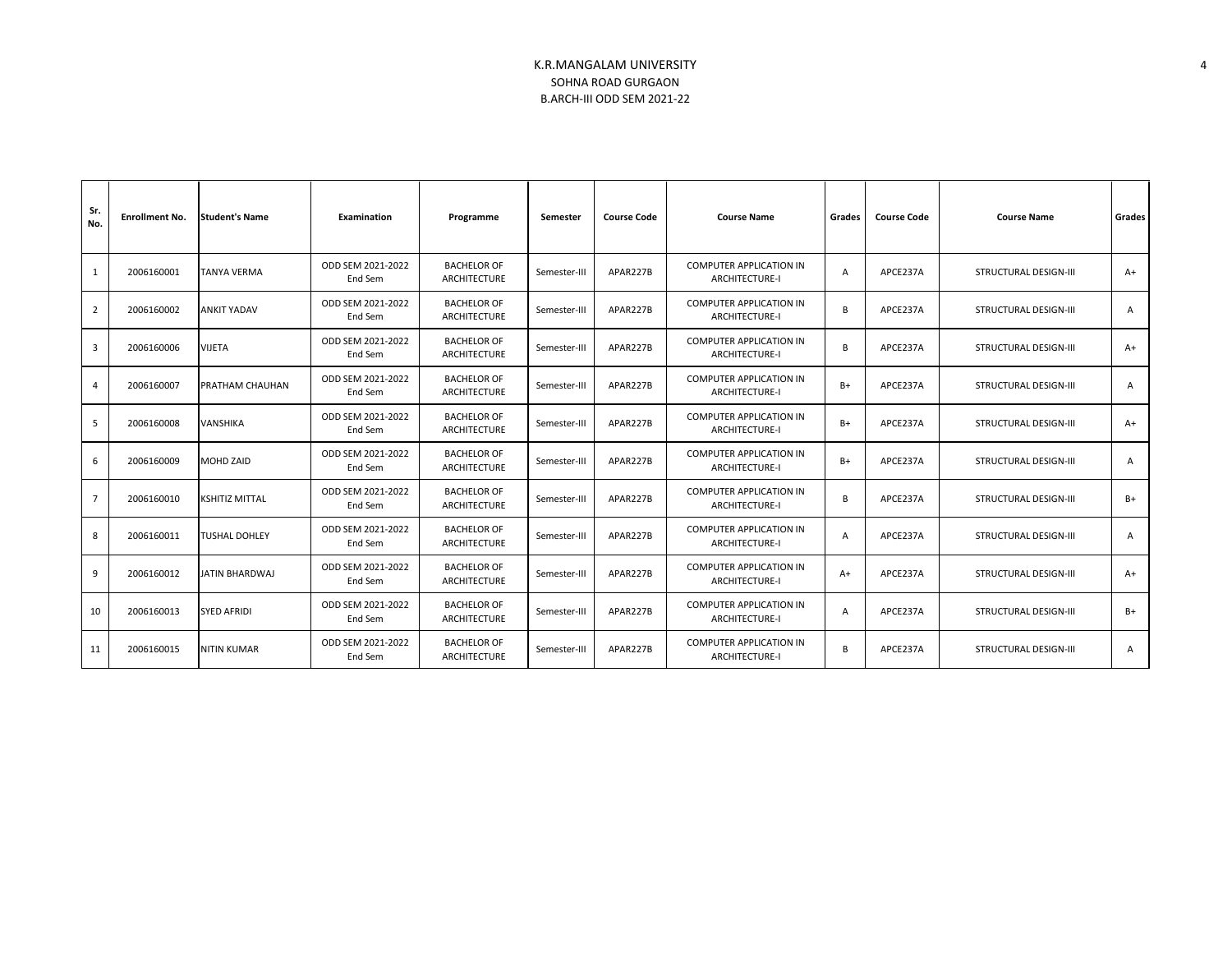| Sr.<br>No.     | <b>Enrollment No.</b> | <b>Student's Name</b> | Examination                  | Programme                                 | Semester     | <b>Course Code</b> | <b>Course Name</b>                                      | Grades   | <b>Course Code</b> | <b>Course Name</b>           | Grades |
|----------------|-----------------------|-----------------------|------------------------------|-------------------------------------------|--------------|--------------------|---------------------------------------------------------|----------|--------------------|------------------------------|--------|
| 1              | 2006160001            | <b>TANYA VERMA</b>    | ODD SEM 2021-2022<br>End Sem | <b>BACHELOR OF</b><br>ARCHITECTURE        | Semester-III | APAR227B           | <b>COMPUTER APPLICATION IN</b><br>ARCHITECTURE-I        | A        | APCE237A           | STRUCTURAL DESIGN-III        | $A+$   |
| $\overline{2}$ | 2006160002            | <b>ANKIT YADAV</b>    | ODD SEM 2021-2022<br>End Sem | <b>BACHELOR OF</b><br>ARCHITECTURE        | Semester-III | APAR227B           | COMPUTER APPLICATION IN<br>ARCHITECTURE-I               | <b>B</b> | APCE237A           | STRUCTURAL DESIGN-III        | A      |
| 3              | 2006160006            | <b>VIJETA</b>         | ODD SEM 2021-2022<br>End Sem | <b>BACHELOR OF</b><br>ARCHITECTURE        | Semester-III | APAR227B           | <b>COMPUTER APPLICATION IN</b><br><b>ARCHITECTURE-I</b> | <b>B</b> | APCE237A           | STRUCTURAL DESIGN-III        | $A+$   |
| 4              | 2006160007            | PRATHAM CHAUHAN       | ODD SEM 2021-2022<br>End Sem | <b>BACHELOR OF</b><br><b>ARCHITECTURE</b> | Semester-III | APAR227B           | <b>COMPUTER APPLICATION IN</b><br><b>ARCHITECTURE-I</b> | $B+$     | APCE237A           | STRUCTURAL DESIGN-III        | A      |
| -5             | 2006160008            | VANSHIKA              | ODD SEM 2021-2022<br>End Sem | <b>BACHELOR OF</b><br>ARCHITECTURE        | Semester-III | APAR227B           | <b>COMPUTER APPLICATION IN</b><br><b>ARCHITECTURE-I</b> | $B+$     | APCE237A           | STRUCTURAL DESIGN-III        | $A+$   |
| 6              | 2006160009            | MOHD ZAID             | ODD SEM 2021-2022<br>End Sem | <b>BACHELOR OF</b><br>ARCHITECTURE        | Semester-III | APAR227B           | <b>COMPUTER APPLICATION IN</b><br><b>ARCHITECTURE-I</b> | $B+$     | APCE237A           | STRUCTURAL DESIGN-III        | A      |
| $\overline{7}$ | 2006160010            | <b>KSHITIZ MITTAL</b> | ODD SEM 2021-2022<br>End Sem | <b>BACHELOR OF</b><br>ARCHITECTURE        | Semester-III | APAR227B           | <b>COMPUTER APPLICATION IN</b><br><b>ARCHITECTURE-I</b> | <b>B</b> | APCE237A           | STRUCTURAL DESIGN-III        | $B+$   |
| 8              | 2006160011            | <b>TUSHAL DOHLEY</b>  | ODD SEM 2021-2022<br>End Sem | <b>BACHELOR OF</b><br>ARCHITECTURE        | Semester-III | APAR227B           | <b>COMPUTER APPLICATION IN</b><br><b>ARCHITECTURE-I</b> | A        | APCE237A           | <b>STRUCTURAL DESIGN-III</b> | A      |
| 9              | 2006160012            | JATIN BHARDWAJ        | ODD SEM 2021-2022<br>End Sem | <b>BACHELOR OF</b><br><b>ARCHITECTURE</b> | Semester-III | APAR227B           | <b>COMPUTER APPLICATION IN</b><br><b>ARCHITECTURE-I</b> | $A+$     | APCE237A           | STRUCTURAL DESIGN-III        | $A+$   |
| 10             | 2006160013            | <b>SYED AFRIDI</b>    | ODD SEM 2021-2022<br>End Sem | <b>BACHELOR OF</b><br>ARCHITECTURE        | Semester-III | APAR227B           | COMPUTER APPLICATION IN<br><b>ARCHITECTURE-I</b>        | A        | APCE237A           | STRUCTURAL DESIGN-III        | B+     |
| 11             | 2006160015            | <b>NITIN KUMAR</b>    | ODD SEM 2021-2022<br>End Sem | <b>BACHELOR OF</b><br>ARCHITECTURE        | Semester-III | APAR227B           | <b>COMPUTER APPLICATION IN</b><br><b>ARCHITECTURE-I</b> | <b>B</b> | APCE237A           | <b>STRUCTURAL DESIGN-III</b> | A      |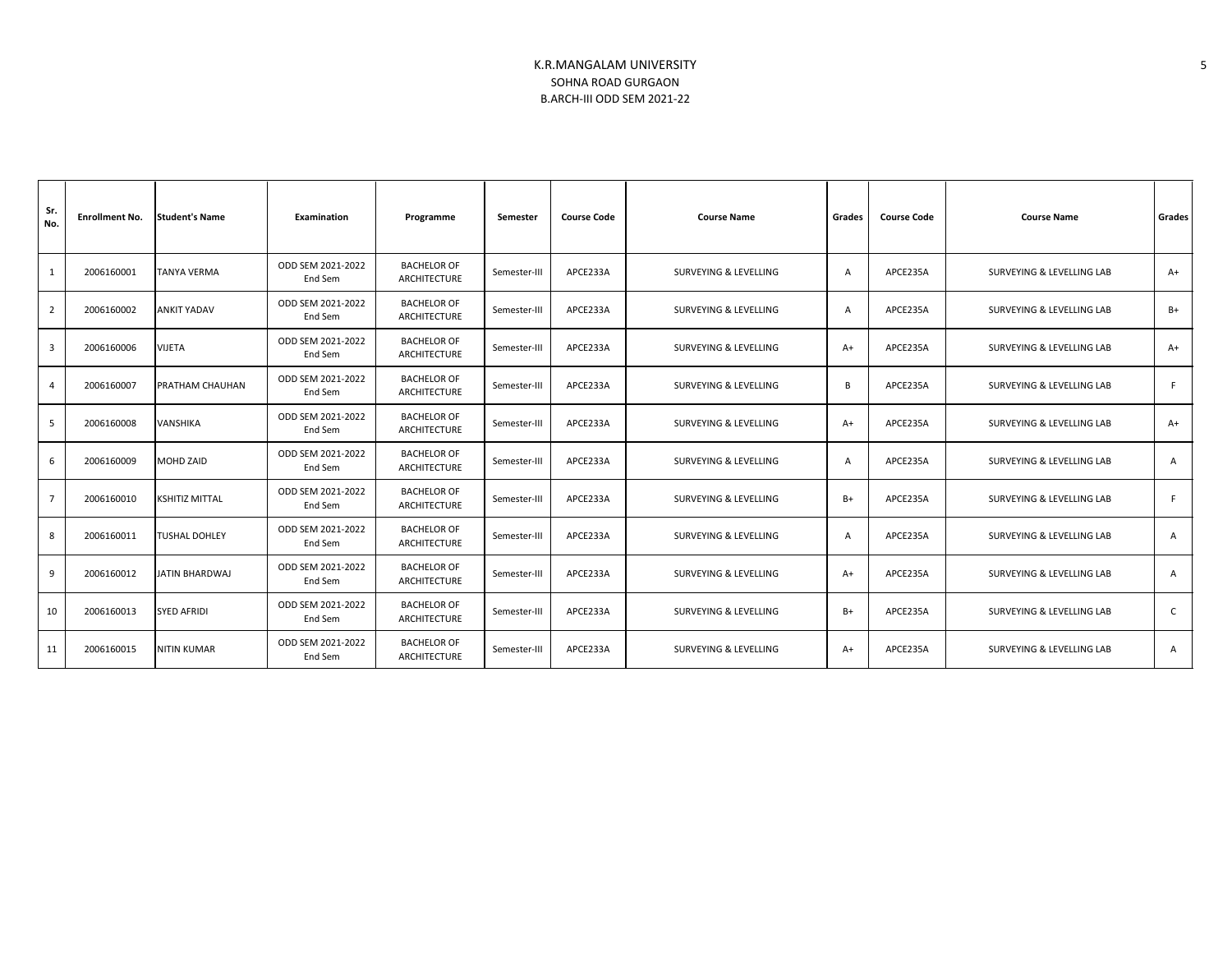| Sr.<br>No.              | <b>Enrollment No.</b> | <b>Student's Name</b> | Examination                  | Programme                                 | Semester     | <b>Course Code</b> | <b>Course Name</b><br>Grades     |      | <b>Course Code</b> | <b>Course Name</b>        | Grades         |
|-------------------------|-----------------------|-----------------------|------------------------------|-------------------------------------------|--------------|--------------------|----------------------------------|------|--------------------|---------------------------|----------------|
| 1                       | 2006160001            | <b>TANYA VERMA</b>    | ODD SEM 2021-2022<br>End Sem | <b>BACHELOR OF</b><br><b>ARCHITECTURE</b> | Semester-III | APCE233A           | SURVEYING & LEVELLING            | A    | APCE235A           | SURVEYING & LEVELLING LAB | $A+$           |
| $\overline{2}$          | 2006160002            | <b>ANKIT YADAV</b>    | ODD SEM 2021-2022<br>End Sem | <b>BACHELOR OF</b><br><b>ARCHITECTURE</b> | Semester-III | APCE233A           | SURVEYING & LEVELLING            | A    | APCE235A           | SURVEYING & LEVELLING LAB | B+             |
| $\overline{\mathbf{3}}$ | 2006160006            | <b>VIJETA</b>         | ODD SEM 2021-2022<br>End Sem | <b>BACHELOR OF</b><br>ARCHITECTURE        | Semester-III | APCE233A           | SURVEYING & LEVELLING            | $A+$ | APCE235A           | SURVEYING & LEVELLING LAB | $A+$           |
| $\overline{4}$          | 2006160007            | PRATHAM CHAUHAN       | ODD SEM 2021-2022<br>End Sem | <b>BACHELOR OF</b><br>ARCHITECTURE        | Semester-III | APCE233A           | SURVEYING & LEVELLING            | B    | APCE235A           | SURVEYING & LEVELLING LAB | F              |
| 5                       | 2006160008            | <b>VANSHIKA</b>       | ODD SEM 2021-2022<br>End Sem | <b>BACHELOR OF</b><br>ARCHITECTURE        | Semester-III | APCE233A           | SURVEYING & LEVELLING            | $A+$ | APCE235A           | SURVEYING & LEVELLING LAB | $A+$           |
| 6                       | 2006160009            | <b>MOHD ZAID</b>      | ODD SEM 2021-2022<br>End Sem | <b>BACHELOR OF</b><br>ARCHITECTURE        | Semester-III | APCE233A           | SURVEYING & LEVELLING            | A    | APCE235A           | SURVEYING & LEVELLING LAB | $\overline{A}$ |
| $\overline{7}$          | 2006160010            | <b>KSHITIZ MITTAL</b> | ODD SEM 2021-2022<br>End Sem | <b>BACHELOR OF</b><br>ARCHITECTURE        | Semester-III | APCE233A           | SURVEYING & LEVELLING            | B+   | APCE235A           | SURVEYING & LEVELLING LAB | F              |
| 8                       | 2006160011            | <b>TUSHAL DOHLEY</b>  | ODD SEM 2021-2022<br>End Sem | <b>BACHELOR OF</b><br>ARCHITECTURE        | Semester-III | APCE233A           | SURVEYING & LEVELLING            | A    | APCE235A           | SURVEYING & LEVELLING LAB | $\overline{A}$ |
| 9                       | 2006160012            | <b>JATIN BHARDWAJ</b> | ODD SEM 2021-2022<br>End Sem | <b>BACHELOR OF</b><br>ARCHITECTURE        | Semester-III | APCE233A           | SURVEYING & LEVELLING            | $A+$ | APCE235A           | SURVEYING & LEVELLING LAB | $\overline{A}$ |
| 10                      | 2006160013            | <b>SYED AFRIDI</b>    | ODD SEM 2021-2022<br>End Sem | <b>BACHELOR OF</b><br>ARCHITECTURE        | Semester-III | APCE233A           | <b>SURVEYING &amp; LEVELLING</b> | B+   | APCE235A           | SURVEYING & LEVELLING LAB | C              |
| 11                      | 2006160015            | <b>NITIN KUMAR</b>    | ODD SEM 2021-2022<br>End Sem | <b>BACHELOR OF</b><br>ARCHITECTURE        | Semester-III | APCE233A           | <b>SURVEYING &amp; LEVELLING</b> | $A+$ | APCE235A           | SURVEYING & LEVELLING LAB | A              |